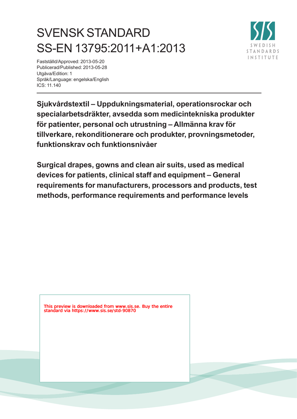# SVENSK STANDARD SS-EN 13795:2011+A1:2013



Fastställd/Approved: 2013-05-20 Publicerad/Published: 2013-05-28 Utgåva/Edition: 1 Språk/Language: engelska/English ICS: 11.140

**Sjukvårdstextil – Uppdukningsmaterial, operationsrockar och specialarbetsdräkter, avsedda som medicintekniska produkter för patienter, personal och utrustning – Allmänna krav för tillverkare, rekonditionerare och produkter, provningsmetoder, funktionskrav och funktionsnivåer**

**Surgical drapes, gowns and clean air suits, used as medical devices for patients, clinical staff and equipment – General requirements for manufacturers, processors and products, test methods, performance requirements and performance levels**

This preview is downloaded from www.sis.se. Buy the entire standard via https://www.sis.se/std-90870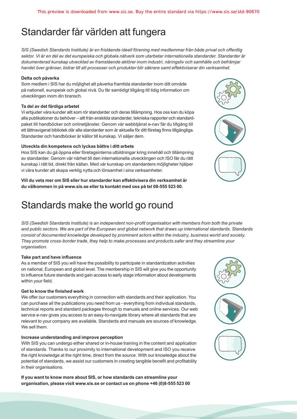## Standarder får världen att fungera

*SIS (Swedish Standards Institute) är en fristående ideell förening med medlemmar från både privat och offentlig sektor. Vi är en del av det europeiska och globala nätverk som utarbetar internationella standarder. Standarder är dokumenterad kunskap utvecklad av framstående aktörer inom industri, näringsliv och samhälle och befrämjar handel över gränser, bidrar till att processer och produkter blir säkrare samt effektiviserar din verksamhet.* 

#### **Delta och påverka**

Som medlem i SIS har du möjlighet att påverka framtida standarder inom ditt område på nationell, europeisk och global nivå. Du får samtidigt tillgång till tidig information om utvecklingen inom din bransch.

#### **Ta del av det färdiga arbetet**

Vi erbjuder våra kunder allt som rör standarder och deras tillämpning. Hos oss kan du köpa alla publikationer du behöver – allt från enskilda standarder, tekniska rapporter och standardpaket till handböcker och onlinetjänster. Genom vår webbtjänst e-nav får du tillgång till ett lättnavigerat bibliotek där alla standarder som är aktuella för ditt företag finns tillgängliga. Standarder och handböcker är källor till kunskap. Vi säljer dem.

#### **Utveckla din kompetens och lyckas bättre i ditt arbete**

Hos SIS kan du gå öppna eller företagsinterna utbildningar kring innehåll och tillämpning av standarder. Genom vår närhet till den internationella utvecklingen och ISO får du rätt kunskap i rätt tid, direkt från källan. Med vår kunskap om standarders möjligheter hjälper vi våra kunder att skapa verklig nytta och lönsamhet i sina verksamheter.

**Vill du veta mer om SIS eller hur standarder kan effektivisera din verksamhet är du välkommen in på www.sis.se eller ta kontakt med oss på tel 08-555 523 00.**

## Standards make the world go round

*SIS (Swedish Standards Institute) is an independent non-profit organisation with members from both the private and public sectors. We are part of the European and global network that draws up international standards. Standards consist of documented knowledge developed by prominent actors within the industry, business world and society. They promote cross-border trade, they help to make processes and products safer and they streamline your organisation.*

#### **Take part and have influence**

As a member of SIS you will have the possibility to participate in standardization activities on national, European and global level. The membership in SIS will give you the opportunity to influence future standards and gain access to early stage information about developments within your field.

#### **Get to know the finished work**

We offer our customers everything in connection with standards and their application. You can purchase all the publications you need from us - everything from individual standards, technical reports and standard packages through to manuals and online services. Our web service e-nav gives you access to an easy-to-navigate library where all standards that are relevant to your company are available. Standards and manuals are sources of knowledge. We sell them.

#### **Increase understanding and improve perception**

With SIS you can undergo either shared or in-house training in the content and application of standards. Thanks to our proximity to international development and ISO you receive the right knowledge at the right time, direct from the source. With our knowledge about the potential of standards, we assist our customers in creating tangible benefit and profitability in their organisations.

**If you want to know more about SIS, or how standards can streamline your organisation, please visit www.sis.se or contact us on phone +46 (0)8-555 523 00**



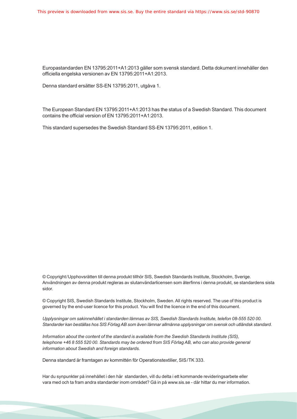Europastandarden EN 13795:2011+A1:2013 gäller som svensk standard. Detta dokument innehåller den officiella engelska versionen av EN 13795:2011+A1:2013.

Denna standard ersätter SS-EN 13795:2011, utgåva 1.

The European Standard EN 13795:2011+A1:2013 has the status of a Swedish Standard. This document contains the official version of EN 13795:2011+A1:2013.

This standard supersedes the Swedish Standard SS-EN 13795:2011, edition 1.

© Copyright / Upphovsrätten till denna produkt tillhör SIS, Swedish Standards Institute, Stockholm, Sverige. Användningen av denna produkt regleras av slutanvändarlicensen som återfinns i denna produkt, se standardens sista sidor.

© Copyright SIS, Swedish Standards Institute, Stockholm, Sweden. All rights reserved. The use of this product is governed by the end-user licence for this product. You will find the licence in the end of this document.

*Upplysningar om sakinnehållet i standarden lämnas av SIS, Swedish Standards Institute, telefon 08-555 520 00. Standarder kan beställas hos SIS Förlag AB som även lämnar allmänna upplysningar om svensk och utländsk standard.*

*Information about the content of the standard is available from the Swedish Standards Institute (SIS), telephone +46 8 555 520 00. Standards may be ordered from SIS Förlag AB, who can also provide general information about Swedish and foreign standards.*

Denna standard är framtagen av kommittén för Operationstextilier, SIS / TK 333.

Har du synpunkter på innehållet i den här standarden, vill du delta i ett kommande revideringsarbete eller vara med och ta fram andra standarder inom området? Gå in på www.sis.se - där hittar du mer information.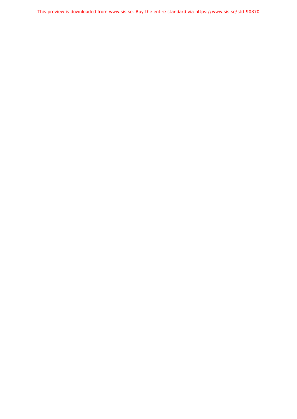This preview is downloaded from www.sis.se. Buy the entire standard via https://www.sis.se/std-90870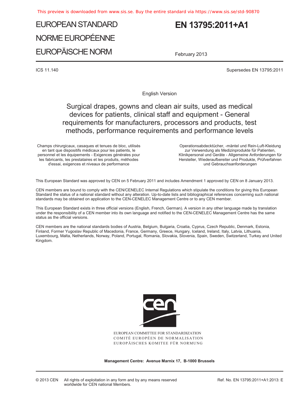## EUROPEAN STANDARD NORME EUROPÉENNE EUROPÄISCHE NORM

## **EN 13795:2011+A1**

February 2013

ICS 11.140 Supersedes EN 13795:2011

English Version

### Surgical drapes, gowns and clean air suits, used as medical devices for patients, clinical staff and equipment - General requirements for manufacturers, processors and products, test methods, performance requirements and performance levels

Champs chirurgicaux, casaques et tenues de bloc, utilisés en tant que dispositifs médicaux pour les patients, le personnel et les équipements - Exigences générales pour les fabricants, les prestataires et les produits, méthodes d'essai, exigences et niveaux de performance

Operationsabdecktücher, -mäntel und Rein-Luft-Kleidung zur Verwendung als Medizinprodukte für Patienten, Klinikpersonal und Geräte - Allgemeine Anforderungen für Hersteller, Wiederaufbereiter und Produkte, Prüfverfahren und Gebrauchsanforderungen

This European Standard was approved by CEN on 5 February 2011 and includes Amendment 1 approved by CEN on 8 January 2013.

CEN members are bound to comply with the CEN/CENELEC Internal Regulations which stipulate the conditions for giving this European Standard the status of a national standard without any alteration. Up-to-date lists and bibliographical references concerning such national standards may be obtained on application to the CEN-CENELEC Management Centre or to any CEN member.

This European Standard exists in three official versions (English, French, German). A version in any other language made by translation under the responsibility of a CEN member into its own language and notified to the CEN-CENELEC Management Centre has the same status as the official versions.

CEN members are the national standards bodies of Austria, Belgium, Bulgaria, Croatia, Cyprus, Czech Republic, Denmark, Estonia, Finland, Former Yugoslav Republic of Macedonia, France, Germany, Greece, Hungary, Iceland, Ireland, Italy, Latvia, Lithuania, Luxembourg, Malta, Netherlands, Norway, Poland, Portugal, Romania, Slovakia, Slovenia, Spain, Sweden, Switzerland, Turkey and United Kingdom.



EUROPEAN COMMITTEE FOR STANDARDIZATION COMITÉ EUROPÉEN DE NORMALISATION EUROPÄISCHES KOMITEE FÜR NORMUNG

**Management Centre: Avenue Marnix 17, B-1000 Brussels**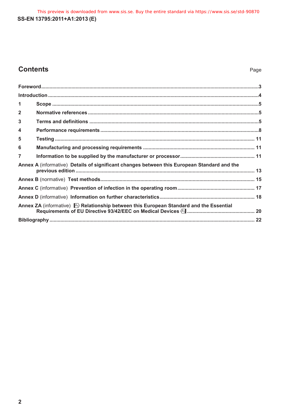This preview is downloaded from www.sis.se. Buy the entire standard via https://www.sis.se/std-90870 SS-EN 13795:2011+A1:2013 (E)

### **Contents**

| $\label{lem:3} \mbox{Introduction} \,\, \ldots \,\, \ldots \,\, \ldots \,\, \ldots \,\, \ldots \,\, \ldots \,\, \ldots \,\, \ldots \,\, \ldots \,\, \ldots \,\, \ldots \,\, \ldots \,\, \ldots \,\, \ldots \,\, \ldots \,\, \ldots \,\, \ldots \,\, \ldots \,\, \ldots \,\, \ldots \,\, \ldots \,\, \ldots \,\, \ldots \,\, \ldots \,\, \ldots \,\, \ldots \,\, \ldots \,\, \ldots \,\, \ldots \,\, \ldots \,\, \ldots \,\, \ldots \,\, \ldots \,\, \ldots \,\,$ |                                                                                                    |  |
|------------------------------------------------------------------------------------------------------------------------------------------------------------------------------------------------------------------------------------------------------------------------------------------------------------------------------------------------------------------------------------------------------------------------------------------------------------------|----------------------------------------------------------------------------------------------------|--|
| 1                                                                                                                                                                                                                                                                                                                                                                                                                                                                |                                                                                                    |  |
| $\overline{2}$                                                                                                                                                                                                                                                                                                                                                                                                                                                   |                                                                                                    |  |
| 3                                                                                                                                                                                                                                                                                                                                                                                                                                                                |                                                                                                    |  |
| $\overline{\mathbf{4}}$                                                                                                                                                                                                                                                                                                                                                                                                                                          |                                                                                                    |  |
| 5                                                                                                                                                                                                                                                                                                                                                                                                                                                                |                                                                                                    |  |
| 6                                                                                                                                                                                                                                                                                                                                                                                                                                                                |                                                                                                    |  |
| $\overline{7}$                                                                                                                                                                                                                                                                                                                                                                                                                                                   |                                                                                                    |  |
| Annex A (informative) Details of significant changes between this European Standard and the                                                                                                                                                                                                                                                                                                                                                                      |                                                                                                    |  |
|                                                                                                                                                                                                                                                                                                                                                                                                                                                                  |                                                                                                    |  |
|                                                                                                                                                                                                                                                                                                                                                                                                                                                                  |                                                                                                    |  |
|                                                                                                                                                                                                                                                                                                                                                                                                                                                                  |                                                                                                    |  |
|                                                                                                                                                                                                                                                                                                                                                                                                                                                                  | Annex ZA (informative) $\boxed{A}$ ) Relationship between this European Standard and the Essential |  |
|                                                                                                                                                                                                                                                                                                                                                                                                                                                                  |                                                                                                    |  |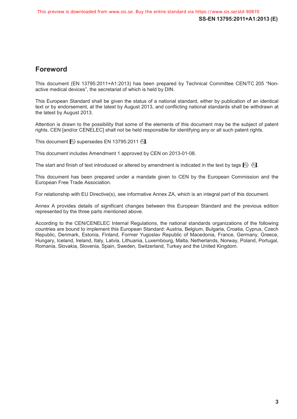### **Foreword**

This document (EN 13795:2011+A1:2013) has been prepared by Technical Committee CEN/TC 205 "Nonactive medical devices", the secretariat of which is held by DIN.

This European Standard shall be given the status of a national standard, either by publication of an identical text or by endorsement, at the latest by August 2013, and conflicting national standards shall be withdrawn at the latest by August 2013.

Attention is drawn to the possibility that some of the elements of this document may be the subject of patent rights. CEN [and/or CENELEC] shall not be held responsible for identifying any or all such patent rights.

This document  $\mathbb{A}_1$  supersedes EN 13795:2011  $\mathbb{A}_1$ .

This document includes Amendment 1 approved by CEN on 2013-01-08.

The start and finish of text introduced or altered by amendment is indicated in the text by tags  $\mathbb{A}_1$ .

This document has been prepared under a mandate given to CEN by the European Commission and the European Free Trade Association.

For relationship with EU Directive(s), see informative Annex ZA, which is an integral part of this document.

Annex A provides details of significant changes between this European Standard and the previous edition represented by the three parts mentioned above.

According to the CEN/CENELEC Internal Regulations, the national standards organizations of the following countries are bound to implement this European Standard: Austria, Belgium, Bulgaria, Croatia, Cyprus, Czech Republic, Denmark, Estonia, Finland, Former Yugoslav Republic of Macedonia, France, Germany, Greece, Hungary, Iceland, Ireland, Italy, Latvia, Lithuania, Luxembourg, Malta, Netherlands, Norway, Poland, Portugal, Romania, Slovakia, Slovenia, Spain, Sweden, Switzerland, Turkey and the United Kingdom.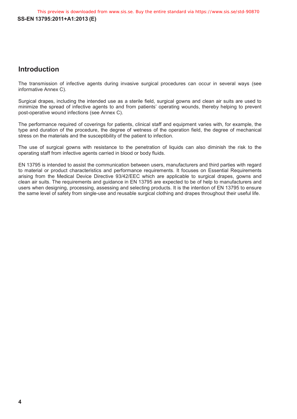### **Introduction**

The transmission of infective agents during invasive surgical procedures can occur in several ways (see informative Annex C).

Surgical drapes, including the intended use as a sterile field, surgical gowns and clean air suits are used to minimize the spread of infective agents to and from patients' operating wounds, thereby helping to prevent post-operative wound infections (see Annex C).

The performance required of coverings for patients, clinical staff and equipment varies with, for example, the type and duration of the procedure, the degree of wetness of the operation field, the degree of mechanical stress on the materials and the susceptibility of the patient to infection.

The use of surgical gowns with resistance to the penetration of liquids can also diminish the risk to the operating staff from infective agents carried in blood or body fluids.

EN 13795 is intended to assist the communication between users, manufacturers and third parties with regard to material or product characteristics and performance requirements. It focuses on Essential Requirements arising from the Medical Device Directive 93/42/EEC which are applicable to surgical drapes, gowns and clean air suits. The requirements and guidance in EN 13795 are expected to be of help to manufacturers and users when designing, processing, assessing and selecting products. It is the intention of EN 13795 to ensure the same level of safety from single-use and reusable surgical clothing and drapes throughout their useful life.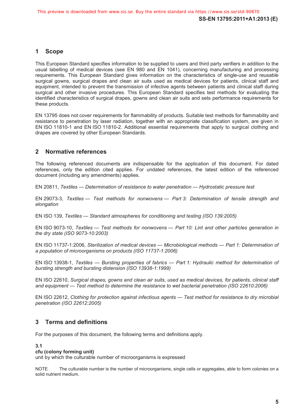#### **1 Scope**

This European Standard specifies information to be supplied to users and third party verifiers in addition to the usual labelling of medical devices (see EN 980 and EN 1041), concerning manufacturing and processing requirements. This European Standard gives information on the characteristics of single-use and reusable surgical gowns, surgical drapes and clean air suits used as medical devices for patients, clinical staff and equipment, intended to prevent the transmission of infective agents between patients and clinical staff during surgical and other invasive procedures. This European Standard specifies test methods for evaluating the identified characteristics of surgical drapes, gowns and clean air suits and sets performance requirements for these products.

EN 13795 does not cover requirements for flammability of products. Suitable test methods for flammability and resistance to penetration by laser radiation, together with an appropriate classification system, are given in EN ISO 11810-1 and EN ISO 11810-2. Additional essential requirements that apply to surgical clothing and drapes are covered by other European Standards.

#### **2 Normative references**

The following referenced documents are indispensable for the application of this document. For dated references, only the edition cited applies. For undated references, the latest edition of the referenced document (including any amendments) applies.

EN 20811, *Textiles — Determination of resistance to water penetration — Hydrostatic pressure test*

EN 29073-3, *Textiles — Test methods for nonwovens — Part 3: Determination of tensile strength and elongation* 

EN ISO 139, *Textiles — Standard atmospheres for conditioning and testing (ISO 139:2005)*

EN ISO 9073-10, *Textiles — Test methods for nonwovens — Part 10: Lint and other particles generation in the dry state (ISO 9073-10:2003)*

EN ISO 11737-1:2006, *Sterilization of medical devices — Microbiological methods — Part 1: Determination of a population of microorganisms on products (ISO 11737-1:2006)*

EN ISO 13938-1, *Textiles — Bursting properties of fabrics — Part 1: Hydraulic method for determination of bursting strength and bursting distension (ISO 13938-1:1999)*

EN ISO 22610, *Surgical drapes, gowns and clean air suits, used as medical devices, for patients, clinical staff and equipment — Test method to determine the resistance to wet bacterial penetration (ISO 22610:2006)*

EN ISO 22612, *Clothing for protection against infectious agents — Test method for resistance to dry microbial penetration (ISO 22612:2005)*

#### **3 Terms and definitions**

For the purposes of this document, the following terms and definitions apply.

#### **3.1**

#### **cfu (colony forming unit)**

unit by which the culturable number of microorganisms is expressed

NOTE The culturable number is the number of microorganisms, single cells or aggregates, able to form colonies on a solid nutrient medium.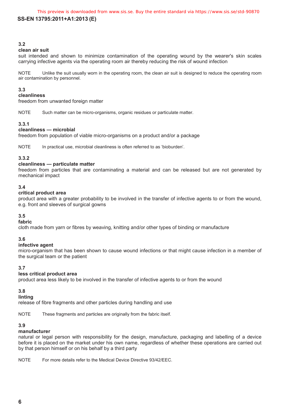#### **3.2**

#### **clean air suit**

suit intended and shown to minimize contamination of the operating wound by the wearer's skin scales carrying infective agents via the operating room air thereby reducing the risk of wound infection

NOTE Unlike the suit usually worn in the operating room, the clean air suit is designed to reduce the operating room air contamination by personnel.

#### **3.3**

#### **cleanliness**

freedom from unwanted foreign matter

NOTE Such matter can be micro-organisms, organic residues or particulate matter.

#### **3.3.1**

#### **cleanliness — microbial**

freedom from population of viable micro-organisms on a product and/or a package

NOTE In practical use, microbial cleanliness is often referred to as 'bioburden'.

#### **3.3.2**

#### **cleanliness — particulate matter**

freedom from particles that are contaminating a material and can be released but are not generated by mechanical impact

#### **3.4**

#### **critical product area**

product area with a greater probability to be involved in the transfer of infective agents to or from the wound, e.g. front and sleeves of surgical gowns

#### **3.5**

#### **fabric**

cloth made from yarn or fibres by weaving, knitting and/or other types of binding or manufacture

#### **3.6**

#### **infective agent**

micro-organism that has been shown to cause wound infections or that might cause infection in a member of the surgical team or the patient

#### **3.7**

#### **less critical product area**

product area less likely to be involved in the transfer of infective agents to or from the wound

#### **3.8**

**linting**

release of fibre fragments and other particles during handling and use

NOTE These fragments and particles are originally from the fabric itself.

#### **3.9**

#### **manufacturer**

natural or legal person with responsibility for the design, manufacture, packaging and labelling of a device before it is placed on the market under his own name, regardless of whether these operations are carried out by that person himself or on his behalf by a third party

NOTE For more details refer to the Medical Device Directive 93/42/EEC.